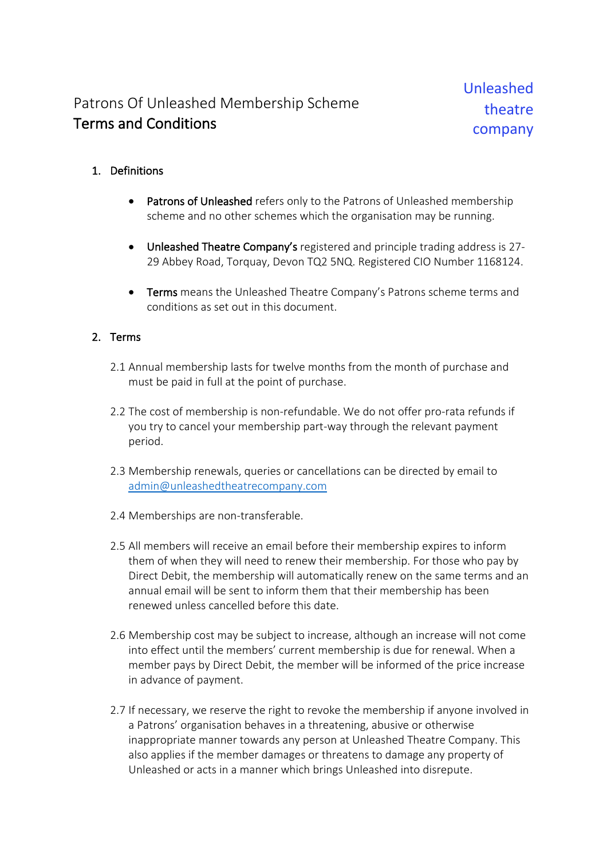## Patrons Of Unleashed Membership Scheme Terms and Conditions

## 1. Definitions

- Patrons of Unleashed refers only to the Patrons of Unleashed membership scheme and no other schemes which the organisation may be running.
- Unleashed Theatre Company's registered and principle trading address is 27- 29 Abbey Road, Torquay, Devon TQ2 5NQ. Registered CIO Number 1168124.
- Terms means the Unleashed Theatre Company's Patrons scheme terms and conditions as set out in this document.

## 2. Terms

- 2.1 Annual membership lasts for twelve months from the month of purchase and must be paid in full at the point of purchase.
- 2.2 The cost of membership is non-refundable. We do not offer pro-rata refunds if you try to cancel your membership part-way through the relevant payment period.
- 2.3 Membership renewals, queries or cancellations can be directed by email to admin@unleashedtheatrecompany.com
- 2.4 Memberships are non-transferable.
- 2.5 All members will receive an email before their membership expires to inform them of when they will need to renew their membership. For those who pay by Direct Debit, the membership will automatically renew on the same terms and an annual email will be sent to inform them that their membership has been renewed unless cancelled before this date.
- 2.6 Membership cost may be subject to increase, although an increase will not come into effect until the members' current membership is due for renewal. When a member pays by Direct Debit, the member will be informed of the price increase in advance of payment.
- 2.7 If necessary, we reserve the right to revoke the membership if anyone involved in a Patrons' organisation behaves in a threatening, abusive or otherwise inappropriate manner towards any person at Unleashed Theatre Company. This also applies if the member damages or threatens to damage any property of Unleashed or acts in a manner which brings Unleashed into disrepute.